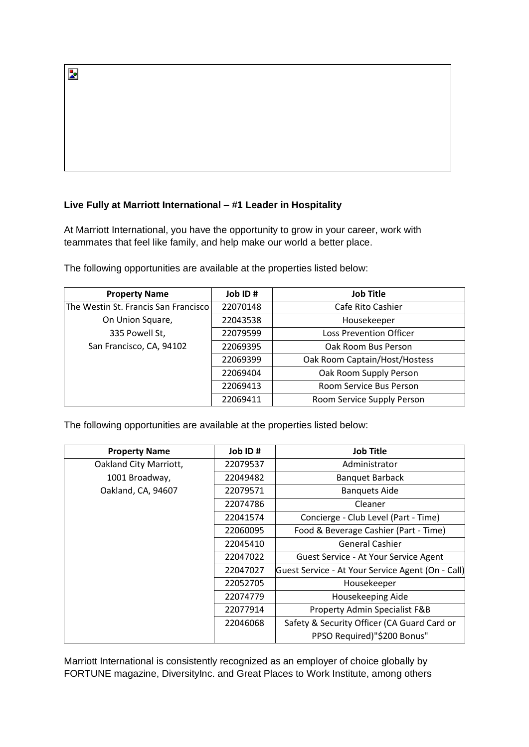## **Live Fully at Marriott International – #1 Leader in Hospitality**

At Marriott International, you have the opportunity to grow in your career, work with teammates that feel like family, and help make our world a better place.

| <b>Property Name</b>                 | $Job$ ID# | <b>Job Title</b>               |
|--------------------------------------|-----------|--------------------------------|
| The Westin St. Francis San Francisco | 22070148  | Cafe Rito Cashier              |
| On Union Square,                     | 22043538  | Housekeeper                    |
| 335 Powell St,                       | 22079599  | <b>Loss Prevention Officer</b> |
| San Francisco, CA, 94102             | 22069395  | Oak Room Bus Person            |
|                                      | 22069399  | Oak Room Captain/Host/Hostess  |
|                                      | 22069404  | Oak Room Supply Person         |
|                                      | 22069413  | Room Service Bus Person        |
|                                      | 22069411  | Room Service Supply Person     |

The following opportunities are available at the properties listed below:

The following opportunities are available at the properties listed below:

| <b>Property Name</b>   | H Ol dol | Job Title                                         |
|------------------------|----------|---------------------------------------------------|
| Oakland City Marriott, | 22079537 | Administrator                                     |
| 1001 Broadway,         | 22049482 | <b>Banquet Barback</b>                            |
| Oakland, CA, 94607     | 22079571 | <b>Banquets Aide</b>                              |
|                        | 22074786 | Cleaner                                           |
|                        | 22041574 | Concierge - Club Level (Part - Time)              |
|                        | 22060095 | Food & Beverage Cashier (Part - Time)             |
|                        | 22045410 | <b>General Cashier</b>                            |
|                        | 22047022 | Guest Service - At Your Service Agent             |
|                        | 22047027 | Guest Service - At Your Service Agent (On - Call) |
|                        | 22052705 | Housekeeper                                       |
|                        | 22074779 | Housekeeping Aide                                 |
|                        | 22077914 | Property Admin Specialist F&B                     |
|                        | 22046068 | Safety & Security Officer (CA Guard Card or       |
|                        |          | PPSO Required)"\$200 Bonus"                       |

Marriott International is consistently recognized as an employer of choice globally by FORTUNE magazine, DiversityInc. and Great Places to Work Institute, among others

Þ.